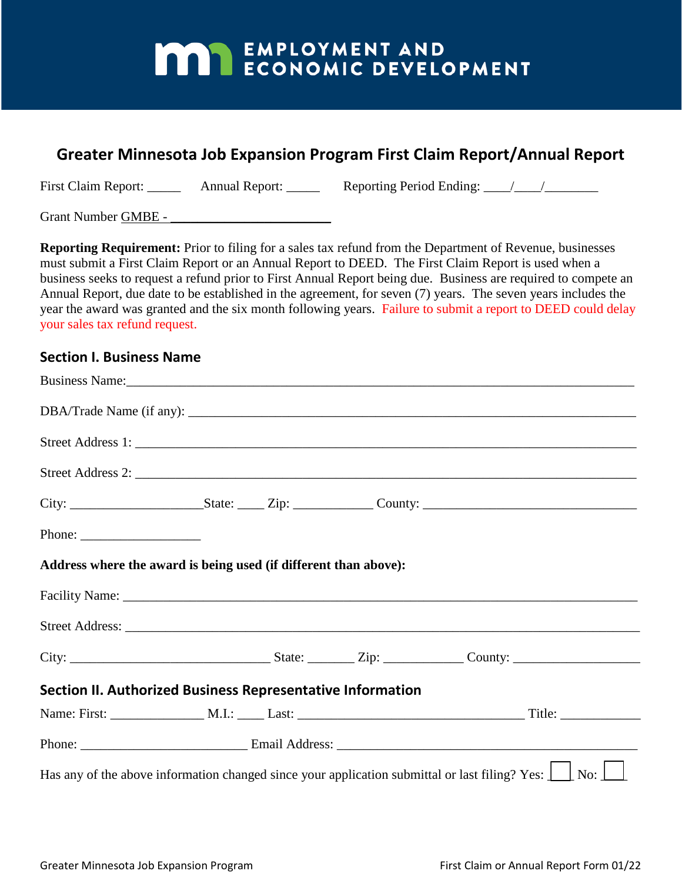# **MAY EMPLOYMENT AND ECONOMIC DEVELOPMENT**

### **Greater Minnesota Job Expansion Program First Claim Report/Annual Report**

First Claim Report: Annual Report: Reporting Period Ending: 1

Grant Number GMBE -

**Reporting Requirement:** Prior to filing for a sales tax refund from the Department of Revenue, businesses must submit a First Claim Report or an Annual Report to DEED. The First Claim Report is used when a business seeks to request a refund prior to First Annual Report being due. Business are required to compete an Annual Report, due date to be established in the agreement, for seven (7) years. The seven years includes the year the award was granted and the six month following years. Failure to submit a report to DEED could delay your sales tax refund request.

#### **Section I. Business Name**

|                                                                                                                                                                                                                                                                                                                                                                                                                          |  |  |  | Business Name:                                                                                                                                 |  |
|--------------------------------------------------------------------------------------------------------------------------------------------------------------------------------------------------------------------------------------------------------------------------------------------------------------------------------------------------------------------------------------------------------------------------|--|--|--|------------------------------------------------------------------------------------------------------------------------------------------------|--|
|                                                                                                                                                                                                                                                                                                                                                                                                                          |  |  |  |                                                                                                                                                |  |
|                                                                                                                                                                                                                                                                                                                                                                                                                          |  |  |  | Street Address 1:                                                                                                                              |  |
|                                                                                                                                                                                                                                                                                                                                                                                                                          |  |  |  | Street Address 2:                                                                                                                              |  |
|                                                                                                                                                                                                                                                                                                                                                                                                                          |  |  |  |                                                                                                                                                |  |
| Phone: $\frac{1}{\sqrt{1-\frac{1}{2}}}\frac{1}{\sqrt{1-\frac{1}{2}}}\frac{1}{\sqrt{1-\frac{1}{2}}}\frac{1}{\sqrt{1-\frac{1}{2}}}\frac{1}{\sqrt{1-\frac{1}{2}}}\frac{1}{\sqrt{1-\frac{1}{2}}}\frac{1}{\sqrt{1-\frac{1}{2}}}\frac{1}{\sqrt{1-\frac{1}{2}}}\frac{1}{\sqrt{1-\frac{1}{2}}}\frac{1}{\sqrt{1-\frac{1}{2}}}\frac{1}{\sqrt{1-\frac{1}{2}}}\frac{1}{\sqrt{1-\frac{1}{2}}}\frac{1}{\sqrt{1-\frac{1}{2}}}\frac{1}{$ |  |  |  |                                                                                                                                                |  |
| Address where the award is being used (if different than above):                                                                                                                                                                                                                                                                                                                                                         |  |  |  |                                                                                                                                                |  |
|                                                                                                                                                                                                                                                                                                                                                                                                                          |  |  |  |                                                                                                                                                |  |
|                                                                                                                                                                                                                                                                                                                                                                                                                          |  |  |  |                                                                                                                                                |  |
|                                                                                                                                                                                                                                                                                                                                                                                                                          |  |  |  |                                                                                                                                                |  |
| Section II. Authorized Business Representative Information                                                                                                                                                                                                                                                                                                                                                               |  |  |  |                                                                                                                                                |  |
|                                                                                                                                                                                                                                                                                                                                                                                                                          |  |  |  |                                                                                                                                                |  |
|                                                                                                                                                                                                                                                                                                                                                                                                                          |  |  |  |                                                                                                                                                |  |
|                                                                                                                                                                                                                                                                                                                                                                                                                          |  |  |  | Has any of the above information changed since your application submittal or last filing? Yes: $\boxed{\phantom{a}}$ No: $\boxed{\phantom{a}}$ |  |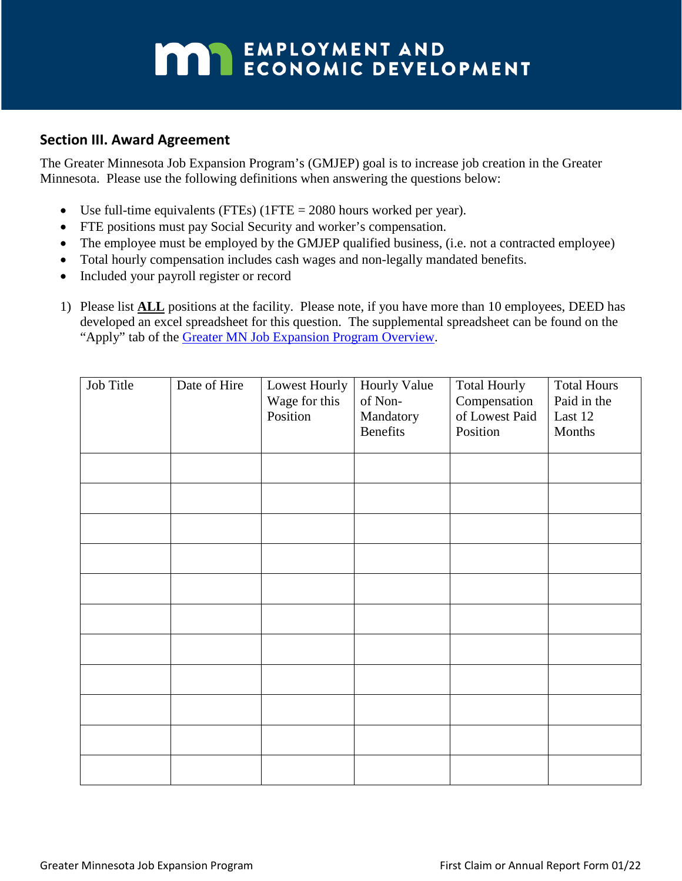# **MAY EMPLOYMENT AND ECONOMIC DEVELOPMENT**

### **Section III. Award Agreement**

The Greater Minnesota Job Expansion Program's (GMJEP) goal is to increase job creation in the Greater Minnesota. Please use the following definitions when answering the questions below:

- Use full-time equivalents (FTEs) (1FTE = 2080 hours worked per year).
- FTE positions must pay Social Security and worker's compensation.
- The employee must be employed by the GMJEP qualified business, (i.e. not a contracted employee)
- Total hourly compensation includes cash wages and non-legally mandated benefits.
- Included your payroll register or record
- 1) Please list **ALL** positions at the facility. Please note, if you have more than 10 employees, DEED has developed an excel spreadsheet for this question. The supplemental spreadsheet can be found on the "Apply" tab of the [Greater MN Job Expansion Program Overview.](https://mn.gov/deed/business/financing-business/tax-credits/greater-mn-job-expansion/)

| Job Title | Date of Hire | Lowest Hourly<br>Wage for this<br>Position | Hourly Value<br>of Non-<br>Mandatory<br><b>Benefits</b> | <b>Total Hourly</b><br>Compensation<br>of Lowest Paid<br>Position | <b>Total Hours</b><br>Paid in the<br>Last 12<br>Months |
|-----------|--------------|--------------------------------------------|---------------------------------------------------------|-------------------------------------------------------------------|--------------------------------------------------------|
|           |              |                                            |                                                         |                                                                   |                                                        |
|           |              |                                            |                                                         |                                                                   |                                                        |
|           |              |                                            |                                                         |                                                                   |                                                        |
|           |              |                                            |                                                         |                                                                   |                                                        |
|           |              |                                            |                                                         |                                                                   |                                                        |
|           |              |                                            |                                                         |                                                                   |                                                        |
|           |              |                                            |                                                         |                                                                   |                                                        |
|           |              |                                            |                                                         |                                                                   |                                                        |
|           |              |                                            |                                                         |                                                                   |                                                        |
|           |              |                                            |                                                         |                                                                   |                                                        |
|           |              |                                            |                                                         |                                                                   |                                                        |